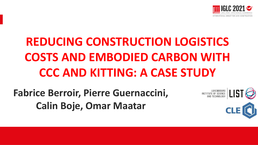

# **REDUCING CONSTRUCTION LOGISTICS COSTS AND EMBODIED CARBON WITH CCC AND KITTING: A CASE STUDY**

## **Fabrice Berroir, Pierre Guernaccini, Calin Boje, Omar Maatar**

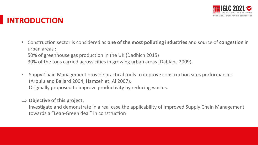

#### **INTRODUCTION**

- Construction sector is considered as **one of the most polluting industries** and source of **congestion** in urban areas : 50% of greenhouse gas production in the UK (Dadhich 2015) 30% of the tons carried across cities in growing urban areas (Dablanc 2009).
- Suppy Chain Management provide practical tools to improve construction sites performances (Arbulu and Ballard 2004; Hamzeh et. Al 2007). Originally proposed to improve productivity by reducing wastes.

#### **Objective of this project:**

Investigate and demonstrate in a real case the applicability of improved Supply Chain Management towards a "Lean-Green deal" in construction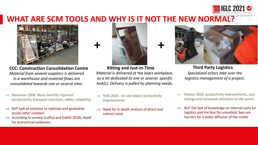#### **WHAT ARE SCM TOOLS AND WHY IS IT NOT THE NEW NORMAL?**



*Material from several suppliers is delivered in a warehouse and material flows are consolidated towards one or several sites.* 

- $\Rightarrow$  Mossman 2008: Many benefits reported (productivity, transport reduction, safety, reliability)
- $\Rightarrow$  BUT lack of initiative to replicate and generalise across other contexts
- $\Rightarrow$  According to surveys (Lafhaj and Dakhli 2018): Need for economical evidences



**CCC: Construction Consolidation Centre Kitting and Just-in-Time Third Party Logistics** *Material is delivered at the exact workplace, as a kit dedicated to one or several specific task(s). Delivery is pulled by planning needs.*

- $\Rightarrow$  Tetik 2020 : on-site labour productivity improvements
- $\Rightarrow$  Need for in depth analysis of direct and indirect costs



*Specialized actors take over the logistics management of a project.*

- Eleskar 2020: productivity improvements, cost savings and increased utilisation of site assets
- BUT the lack of knowledge on internal costs for logistics and the fear for unrealistic fees are barriers for a wider diffusion of the model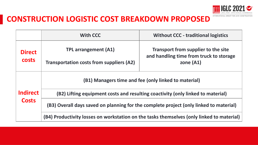

#### **CONSTRUCTION LOGISTIC COST BREAKDOWN PROPOSED**

|                                 | <b>With CCC</b>                                                                           | <b>Without CCC - traditional logistics</b>                                            |  |
|---------------------------------|-------------------------------------------------------------------------------------------|---------------------------------------------------------------------------------------|--|
| <b>Direct</b><br><b>costs</b>   | <b>TPL arrangement (A1)</b>                                                               | <b>Transport from supplier to the site</b><br>and handling time from truck to storage |  |
|                                 | <b>Transportation costs from suppliers (A2)</b>                                           | zone $(A1)$                                                                           |  |
| <b>Indirect</b><br><b>Costs</b> | (B1) Managers time and fee (only linked to material)                                      |                                                                                       |  |
|                                 | (B2) Lifting equipment costs and resulting coactivity (only linked to material)           |                                                                                       |  |
|                                 | (B3) Overall days saved on planning for the complete project (only linked to material)    |                                                                                       |  |
|                                 | (B4) Productivity losses on workstation on the tasks themselves (only linked to material) |                                                                                       |  |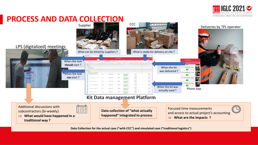

#### **PROCESS AND DATA COLLECTION**



**Data Collection for the actual case ("with CCC") and simulated case ("traditional logistics")**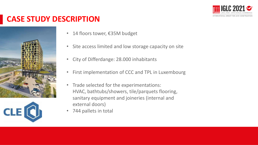

### **CASE STUDY DESCRIPTION**





- 14 floors tower, €35M budget
- Site access limited and low storage capacity on site
- City of Differdange: 28.000 inhabitants
- First implementation of CCC and TPL in Luxembourg
- Trade selected for the experimentations: HVAC, bathtubs/showers, tile/parquets flooring, sanitary equipment and joineries (internal and external doors)
- 744 pallets in total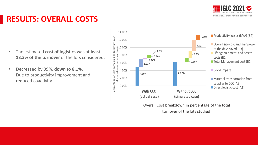

### **RESULTS: OVERALL COSTS**

- The estimated **cost of logistics was at least**  13.3% of the turnover of the lots considered.
- Decreased by 39%, **down to 8.1%**. Due to productivity improvement and reduced coactivity.



Overall Cost breakdown in percentage of the total

turnover of the lots studied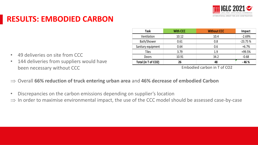

### **RESULTS: EMBODIED CARBON**

• 144 deliveries from suppliers would have

• 49 deliveries on site from CCC

been necessary without CCC

| Task                | <b>With CCC</b> | <b>Without CCC</b> | Impact    |
|---------------------|-----------------|--------------------|-----------|
| Ventilation         | 10.12           | 10.4               | $-2.69%$  |
| Bath/Shower         | 0.61            | 0.8                | $-23.75%$ |
| Sanitary equipment  | 0.64            | 0.6                | $+6.7%$   |
| <b>Tiles</b>        | 3.79            | 1.9                | +99.5%    |
| Doors               | 10.91           | 34.2               | $-0.68$   |
| Total (in T of CO2) | 26              | 48                 | $-46%$    |

Embodied carbon in T of CO2

- Overall **66% reduction of truck entering urban area** and **46% decrease of embodied Carbon**
- Discrepancies on the carbon emissions depending on supplier's location
- $\Rightarrow$  In order to maximise environmental impact, the use of the CCC model should be assessed case-by-case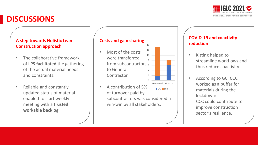

#### **DISCUSSIONS**

#### **A step towards Holistic Lean Construction approach**

- The collaborative framework of **LPS facilitated** the gathering of the actual material needs and constraints.
- Reliable and constantly updated status of material enabled to start weekly meeting with a **trusted workable backlog**.

#### **Costs and gain sharing**

- $2 -$ 4 from subcontractors  $_6$ 8 10 12 • Most of the costs were transferred to General **Contractor**
- GC Sub • A contribution of 5% of turnover paid by subcontractors was considered a win-win by all stakeholders.

0

Traditional with CCC

14

#### **COVID-19 and coactivity reduction**

- Kitting helped to streamline workflows and thus reduce coactivity
- According to GC, CCC worked as a buffer for materials during the lockdown: CCC could contribute to improve construction sector's resilience.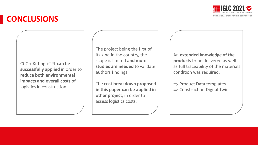

### **CONCLUSIONS**

CCC + Kitting +TPL **can be successfully applied** in order to **reduce both environmental impacts and overall costs** of logistics in construction.

The project being the first of its kind in the country, the scope is limited **and more studies are needed** to validate authors findings.

The **cost breakdown proposed in this paper can be applied in other project**, in order to assess logistics costs.

An **extended knowledge of the products** to be delivered as well as full traceability of the materials condition was required.

 $\Rightarrow$  Product Data templates  $\Rightarrow$  Construction Digital Twin